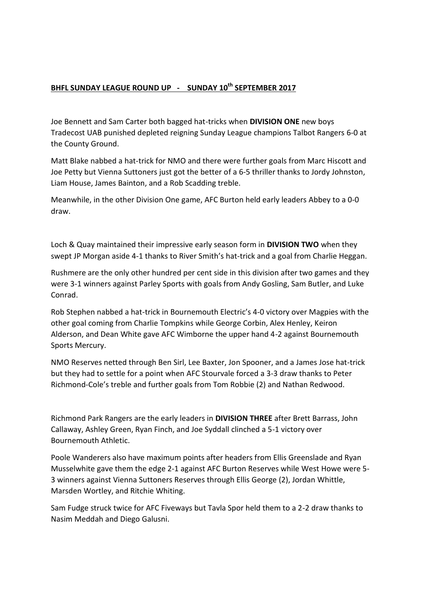## **BHFL SUNDAY LEAGUE ROUND UP - SUNDAY 10th SEPTEMBER 2017**

Joe Bennett and Sam Carter both bagged hat-tricks when **DIVISION ONE** new boys Tradecost UAB punished depleted reigning Sunday League champions Talbot Rangers 6-0 at the County Ground.

Matt Blake nabbed a hat-trick for NMO and there were further goals from Marc Hiscott and Joe Petty but Vienna Suttoners just got the better of a 6-5 thriller thanks to Jordy Johnston, Liam House, James Bainton, and a Rob Scadding treble.

Meanwhile, in the other Division One game, AFC Burton held early leaders Abbey to a 0-0 draw.

Loch & Quay maintained their impressive early season form in **DIVISION TWO** when they swept JP Morgan aside 4-1 thanks to River Smith's hat-trick and a goal from Charlie Heggan.

Rushmere are the only other hundred per cent side in this division after two games and they were 3-1 winners against Parley Sports with goals from Andy Gosling, Sam Butler, and Luke Conrad.

Rob Stephen nabbed a hat-trick in Bournemouth Electric's 4-0 victory over Magpies with the other goal coming from Charlie Tompkins while George Corbin, Alex Henley, Keiron Alderson, and Dean White gave AFC Wimborne the upper hand 4-2 against Bournemouth Sports Mercury.

NMO Reserves netted through Ben Sirl, Lee Baxter, Jon Spooner, and a James Jose hat-trick but they had to settle for a point when AFC Stourvale forced a 3-3 draw thanks to Peter Richmond-Cole's treble and further goals from Tom Robbie (2) and Nathan Redwood.

Richmond Park Rangers are the early leaders in **DIVISION THREE** after Brett Barrass, John Callaway, Ashley Green, Ryan Finch, and Joe Syddall clinched a 5-1 victory over Bournemouth Athletic.

Poole Wanderers also have maximum points after headers from Ellis Greenslade and Ryan Musselwhite gave them the edge 2-1 against AFC Burton Reserves while West Howe were 5- 3 winners against Vienna Suttoners Reserves through Ellis George (2), Jordan Whittle, Marsden Wortley, and Ritchie Whiting.

Sam Fudge struck twice for AFC Fiveways but Tavla Spor held them to a 2-2 draw thanks to Nasim Meddah and Diego Galusni.